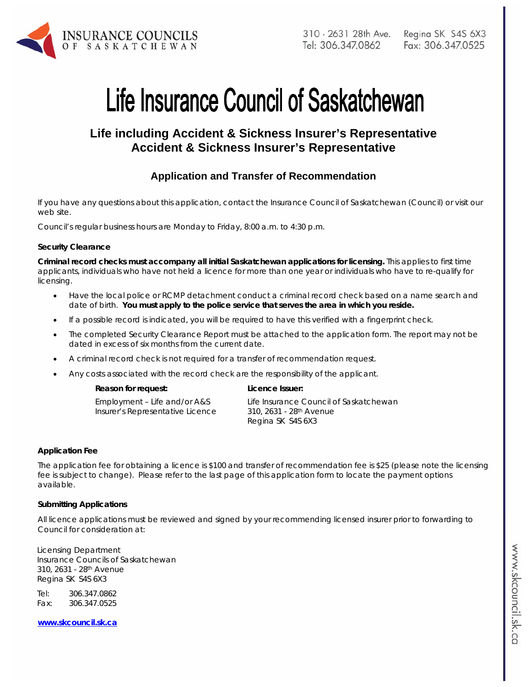

# Life Insurance Council of Saskatchewan

# **Life including Accident & Sickness Insurer's Representative Accident & Sickness Insurer's Representative**

# **Application and Transfer of Recommendation**

If you have any questions about this application, contact the Insurance Council of Saskatchewan (Council) or visit our web site.

Council's regular business hours are Monday to Friday, 8:00 a.m. to 4:30 p.m.

#### **Security Clearance**

**Criminal record checks must accompany all initial Saskatchewan applications for licensing.** This applies to first time applicants, individuals who have not held a licence for more than one year or individuals who have to re-qualify for licensing.

- Have the local police or RCMP detachment conduct a criminal record check based on a name search and date of birth. **You must apply to the police service that serves the area in which you reside.**
- If a possible record is indicated, you will be required to have this verified with a fingerprint check.
- The completed Security Clearance Report must be attached to the application form. The report may not be dated in excess of six months from the current date.
- A criminal record check is not required for a transfer of recommendation request.
- Any costs associated with the record check are the responsibility of the applicant.

#### **Reason for request: Licence Issuer:**

Employment – Life and/or A&S Insurer's Representative Licence Life Insurance Council of Saskatchewan 310, 2631 - 28th Avenue Regina SK S4S 6X3

#### **Application Fee**

The application fee for obtaining a licence is \$100 and transfer of recommendation fee is \$25 (please note the licensing fee is subject to change). Please refer to the last page of this application form to locate the payment options available.

#### **Submitting Applications**

All licence applications must be reviewed and signed by your recommending licensed insurer prior to forwarding to Council for consideration at:

Licensing Department Insurance Councils of Saskatchewan 310, 2631 - 28th Avenue Regina SK S4S 6X3

Tel: 306.347.0862 Fax: 306.347.0525

**www.skcouncil.sk.ca**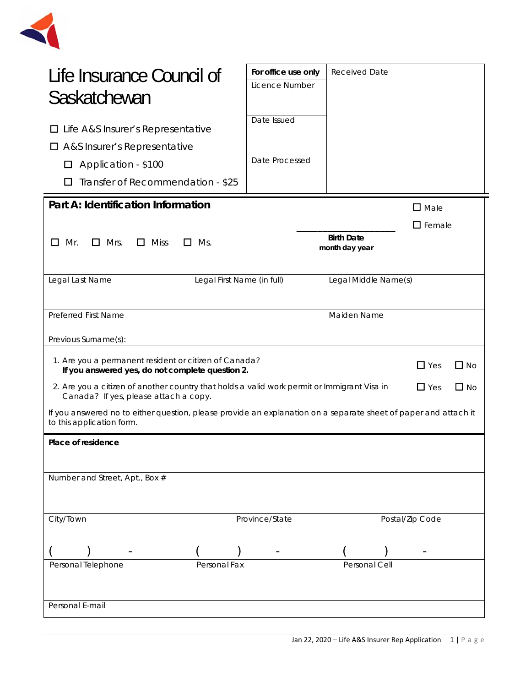

| Life Insurance Council of<br>Saskatchewan                                                                                                                          | For office use only<br>Licence Number                                                                                                                        | <b>Received Date</b>                |                 |  |  |
|--------------------------------------------------------------------------------------------------------------------------------------------------------------------|--------------------------------------------------------------------------------------------------------------------------------------------------------------|-------------------------------------|-----------------|--|--|
| Life A&S Insurer's Representative<br>Ш<br>$\Box$ A&S Insurer's Representative<br>Application - \$100<br>□<br>Transfer of Recommendation - \$25                     | Date Issued<br>Date Processed                                                                                                                                |                                     |                 |  |  |
| Part A: Identification Information                                                                                                                                 |                                                                                                                                                              |                                     | $\square$ Male  |  |  |
| Mr.<br>$\Box$ Mrs.<br>$\Box$ Miss<br>Ms.<br>$\Box$<br>$\mathsf{L}$                                                                                                 |                                                                                                                                                              | <b>Birth Date</b><br>month day year | $\Box$ Female   |  |  |
| Legal Last Name<br>Legal First Name (in full)                                                                                                                      |                                                                                                                                                              | Legal Middle Name(s)                |                 |  |  |
| <b>Preferred First Name</b>                                                                                                                                        |                                                                                                                                                              | Maiden Name                         |                 |  |  |
|                                                                                                                                                                    | Previous Surname(s):<br>1. Are you a permanent resident or citizen of Canada?<br>$\Box$ Yes<br>$\Box$ No<br>If you answered yes, do not complete question 2. |                                     |                 |  |  |
| $\Box$ Yes<br>$\square$ No<br>2. Are you a citizen of another country that holds a valid work permit or Immigrant Visa in<br>Canada? If yes, please attach a copy. |                                                                                                                                                              |                                     |                 |  |  |
| If you answered no to either question, please provide an explanation on a separate sheet of paper and attach it<br>to this application form.                       |                                                                                                                                                              |                                     |                 |  |  |
| Place of residence                                                                                                                                                 |                                                                                                                                                              |                                     |                 |  |  |
| Number and Street, Apt., Box #                                                                                                                                     |                                                                                                                                                              |                                     |                 |  |  |
| City/Town                                                                                                                                                          | Province/State                                                                                                                                               |                                     | Postal/Zip Code |  |  |
|                                                                                                                                                                    |                                                                                                                                                              |                                     |                 |  |  |
| Personal Telephone<br>Personal Fax                                                                                                                                 |                                                                                                                                                              | Personal Cell                       |                 |  |  |
| Personal E-mail                                                                                                                                                    |                                                                                                                                                              |                                     |                 |  |  |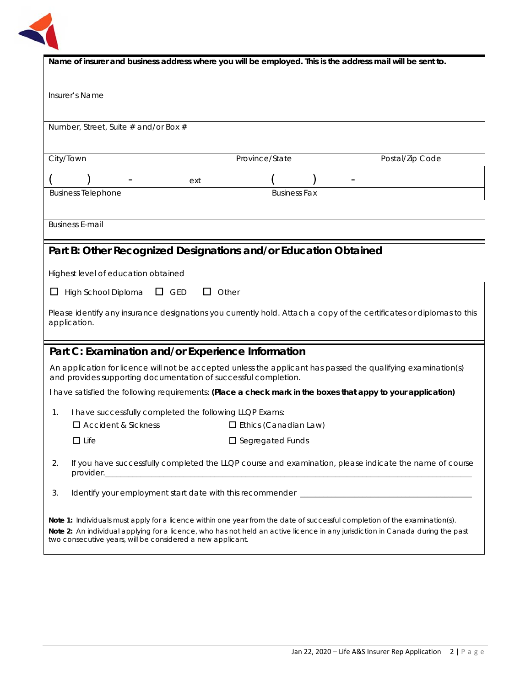

| Name of insurer and business address where you will be employed. This is the address mail will be sent to.                                                                                                                                                                                                                 |                              |                 |  |
|----------------------------------------------------------------------------------------------------------------------------------------------------------------------------------------------------------------------------------------------------------------------------------------------------------------------------|------------------------------|-----------------|--|
|                                                                                                                                                                                                                                                                                                                            |                              |                 |  |
| Insurer's Name                                                                                                                                                                                                                                                                                                             |                              |                 |  |
|                                                                                                                                                                                                                                                                                                                            |                              |                 |  |
| Number, Street, Suite # and/or Box #                                                                                                                                                                                                                                                                                       |                              |                 |  |
| City/Town                                                                                                                                                                                                                                                                                                                  | Province/State               | Postal/Zip Code |  |
|                                                                                                                                                                                                                                                                                                                            |                              |                 |  |
| <b>Business Telephone</b>                                                                                                                                                                                                                                                                                                  | ext<br><b>Business Fax</b>   |                 |  |
|                                                                                                                                                                                                                                                                                                                            |                              |                 |  |
| <b>Business E-mail</b>                                                                                                                                                                                                                                                                                                     |                              |                 |  |
|                                                                                                                                                                                                                                                                                                                            |                              |                 |  |
| Part B: Other Recognized Designations and/or Education Obtained                                                                                                                                                                                                                                                            |                              |                 |  |
| Highest level of education obtained                                                                                                                                                                                                                                                                                        |                              |                 |  |
| $\Box$ GED<br>High School Diploma<br>ப                                                                                                                                                                                                                                                                                     | Other<br>$\Box$              |                 |  |
| Please identify any insurance designations you currently hold. Attach a copy of the certificates or diplomas to this                                                                                                                                                                                                       |                              |                 |  |
| application.                                                                                                                                                                                                                                                                                                               |                              |                 |  |
|                                                                                                                                                                                                                                                                                                                            |                              |                 |  |
| Part C: Examination and/or Experience Information                                                                                                                                                                                                                                                                          |                              |                 |  |
| An application for licence will not be accepted unless the applicant has passed the qualifying examination(s)<br>and provides supporting documentation of successful completion.                                                                                                                                           |                              |                 |  |
| I have satisfied the following requirements: (Place a check mark in the boxes that appy to your application)                                                                                                                                                                                                               |                              |                 |  |
| I have successfully completed the following LLQP Exams:<br>1.                                                                                                                                                                                                                                                              |                              |                 |  |
| $\Box$ Accident & Sickness                                                                                                                                                                                                                                                                                                 | $\Box$ Ethics (Canadian Law) |                 |  |
| $\Box$ Life                                                                                                                                                                                                                                                                                                                | $\square$ Segregated Funds   |                 |  |
| If you have successfully completed the LLQP course and examination, please indicate the name of course<br>2.                                                                                                                                                                                                               |                              |                 |  |
| 3.                                                                                                                                                                                                                                                                                                                         |                              |                 |  |
| Note 1: Individuals must apply for a licence within one year from the date of successful completion of the examination(s).<br>Note 2: An individual applying for a licence, who has not held an active licence in any jurisdiction in Canada during the past<br>two consecutive years, will be considered a new applicant. |                              |                 |  |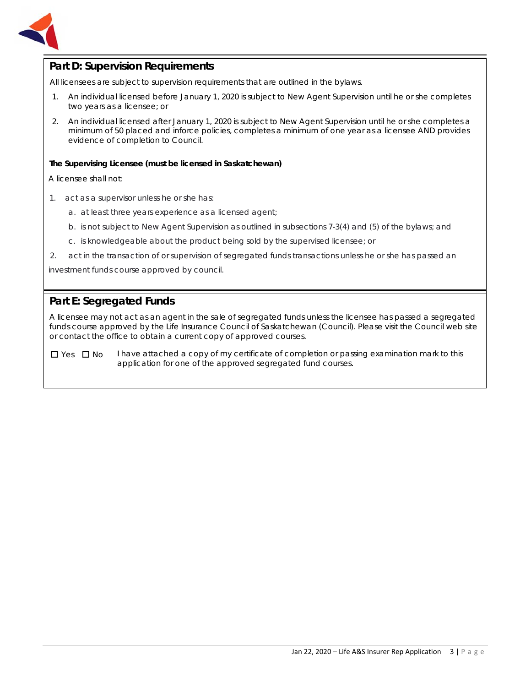

# **Part D: Supervision Requirements**

All licensees are subject to supervision requirements that are outlined in the bylaws.

- 1. An individual licensed before January 1, 2020 is subject to New Agent Supervision until he or she completes two years as a licensee; or
- 2. An individual licensed after January 1, 2020 is subject to New Agent Supervision until he or she completes a minimum of 50 placed and inforce policies, completes a minimum of one year as a licensee AND provides evidence of completion to Council.

#### **The Supervising Licensee (must be licensed in Saskatchewan)**

A licensee shall not:

- 1. act as a supervisor unless he or she has:
	- a. at least three years experience as a licensed agent;
	- b. is not subject to New Agent Supervision as outlined in subsections 7-3(4) and (5) of the bylaws; and
	- c. is knowledgeable about the product being sold by the supervised licensee; or
- 2. act in the transaction of or supervision of segregated funds transactions unless he or she has passed an

investment funds course approved by council.

# **Part E: Segregated Funds**

A licensee may not act as an agent in the sale of segregated funds unless the licensee has passed a segregated funds course approved by the Life Insurance Council of Saskatchewan (Council). Please visit the Council web site or contact the office to obtain a current copy of approved courses.

□ Yes □ No I have attached a copy of my certificate of completion or passing examination mark to this application for one of the approved segregated fund courses.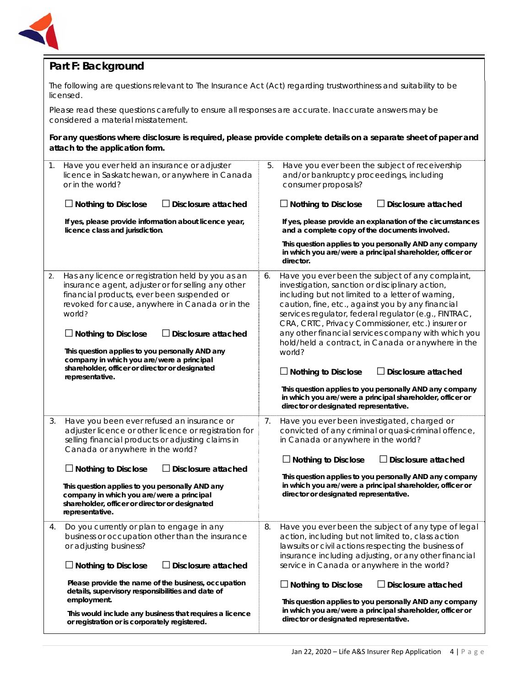

# **Part F: Background**

The following are questions relevant to *The Insurance Act* (Act) regarding trustworthiness and suitability to be licensed.

Please read these questions carefully to ensure all responses are accurate. Inaccurate answers may be considered a material misstatement.

**For any questions where disclosure is required, please provide complete details on a separate sheet of paper and attach to the application form.**

| 1. | Have you ever held an insurance or adjuster<br>licence in Saskatchewan, or anywhere in Canada<br>or in the world?<br>$\Box$ Nothing to Disclose<br>Disclosure attached<br>If yes, please provide information about licence year,<br>licence class and jurisdiction.                                                                                                                                                                                 | 5. | Have you ever been the subject of receivership<br>and/or bankruptcy proceedings, including<br>consumer proposals?<br>$\Box$ Nothing to Disclose<br>$\Box$ Disclosure attached<br>If yes, please provide an explanation of the circumstances<br>and a complete copy of the documents involved.<br>This question applies to you personally AND any company<br>in which you are/were a principal shareholder, officer or<br>director.                                                                                                                                                                                                                                               |
|----|-----------------------------------------------------------------------------------------------------------------------------------------------------------------------------------------------------------------------------------------------------------------------------------------------------------------------------------------------------------------------------------------------------------------------------------------------------|----|----------------------------------------------------------------------------------------------------------------------------------------------------------------------------------------------------------------------------------------------------------------------------------------------------------------------------------------------------------------------------------------------------------------------------------------------------------------------------------------------------------------------------------------------------------------------------------------------------------------------------------------------------------------------------------|
| 2. | Has any licence or registration held by you as an<br>insurance agent, adjuster or for selling any other<br>financial products, ever been suspended or<br>revoked for cause, anywhere in Canada or in the<br>world?<br>$\Box$ Nothing to Disclose<br>$\Box$ Disclosure attached<br>This question applies to you personally AND any<br>company in which you are/were a principal<br>shareholder, officer or director or designated<br>representative. | 6. | Have you ever been the subject of any complaint,<br>investigation, sanction or disciplinary action,<br>including but not limited to a letter of warning,<br>caution, fine, etc., against you by any financial<br>services regulator, federal regulator (e.g., FINTRAC,<br>CRA, CRTC, Privacy Commissioner, etc.) insurer or<br>any other financial services company with which you<br>hold/held a contract, in Canada or anywhere in the<br>world?<br>$\Box$ Nothing to Disclose<br>$\Box$ Disclosure attached<br>This question applies to you personally AND any company<br>in which you are/were a principal shareholder, officer or<br>director or designated representative. |
| 3. | Have you been ever refused an insurance or<br>adjuster licence or other licence or registration for<br>selling financial products or adjusting claims in<br>Canada or anywhere in the world?<br>$\Box$ Nothing to Disclose<br>$\Box$ Disclosure attached<br>This question applies to you personally AND any<br>company in which you are/were a principal<br>shareholder, officer or director or designated<br>representative.                       | 7. | Have you ever been investigated, charged or<br>convicted of any criminal or quasi-criminal offence,<br>in Canada or anywhere in the world?<br>$\Box$ Nothing to Disclose<br>$\Box$ Disclosure attached<br>This question applies to you personally AND any company<br>in which you are/were a principal shareholder, officer or<br>director or designated representative.                                                                                                                                                                                                                                                                                                         |
| 4. | Do you currently or plan to engage in any<br>business or occupation other than the insurance<br>or adjusting business?<br>$\Box$ Disclosure attached<br>$\Box$ Nothing to Disclose<br>Please provide the name of the business, occupation<br>details, supervisory responsibilities and date of<br>employment.<br>This would include any business that requires a licence<br>or registration or is corporately registered.                           | 8. | Have you ever been the subject of any type of legal<br>action, including but not limited to, class action<br>lawsuits or civil actions respecting the business of<br>insurance including adjusting, or any other financial<br>service in Canada or anywhere in the world?<br>$\Box$ Nothing to Disclose<br>$\Box$ Disclosure attached<br>This question applies to you personally AND any company<br>in which you are/were a principal shareholder, officer or<br>director or designated representative.                                                                                                                                                                          |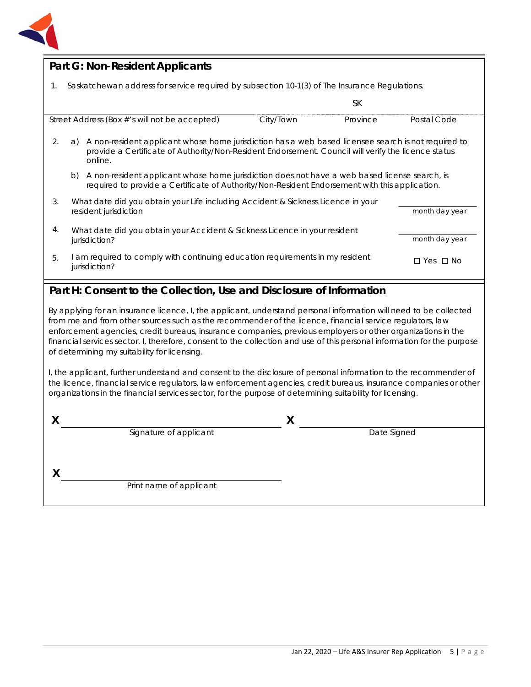

# **Part G: Non-Resident Applicants**

1. Saskatchewan address for service required by subsection 10-1(3) of *The Insurance Regulations*.

|                                                                      |                                                                                                                                                                                                                             |                                                                                              |           | <b>SK</b> |                      |
|----------------------------------------------------------------------|-----------------------------------------------------------------------------------------------------------------------------------------------------------------------------------------------------------------------------|----------------------------------------------------------------------------------------------|-----------|-----------|----------------------|
| Street Address (Box #'s will not be accepted)                        |                                                                                                                                                                                                                             |                                                                                              | City/Town | Province  | Postal Code          |
| 2.                                                                   | A non-resident applicant whose home jurisdiction has a web based licensee search is not required to<br>a)<br>provide a Certificate of Authority/Non-Resident Endorsement. Council will verify the licence status<br>online. |                                                                                              |           |           |                      |
|                                                                      | A non-resident applicant whose home jurisdiction does not have a web based license search, is<br>b)<br>required to provide a Certificate of Authority/Non-Resident Endorsement with this application.                       |                                                                                              |           |           |                      |
| 3.                                                                   | What date did you obtain your Life including Accident & Sickness Licence in your<br>resident jurisdiction<br>month day year                                                                                                 |                                                                                              |           |           |                      |
| 4.                                                                   | What date did you obtain your Accident & Sickness Licence in your resident<br>month day year<br>jurisdiction?                                                                                                               |                                                                                              |           |           |                      |
| 5.                                                                   |                                                                                                                                                                                                                             | am required to comply with continuing education requirements in my resident<br>jurisdiction? |           |           | $\Box$ Yes $\Box$ No |
| Part H: Consent to the Collection, Use and Disclosure of Information |                                                                                                                                                                                                                             |                                                                                              |           |           |                      |

By applying for an insurance licence, I, the applicant, understand personal information will need to be collected from me and from other sources such as the recommender of the licence, financial service regulators, law enforcement agencies, credit bureaus, insurance companies, previous employers or other organizations in the financial services sector. I, therefore, consent to the collection and use of this personal information for the purpose of determining my suitability for licensing.

I, the applicant, further understand and consent to the disclosure of personal information to the recommender of the licence, financial service regulators, law enforcement agencies, credit bureaus, insurance companies or other organizations in the financial services sector, for the purpose of determining suitability for licensing.

| Signature of applicant  | Date Signed |  |
|-------------------------|-------------|--|
|                         |             |  |
|                         |             |  |
| Print name of applicant |             |  |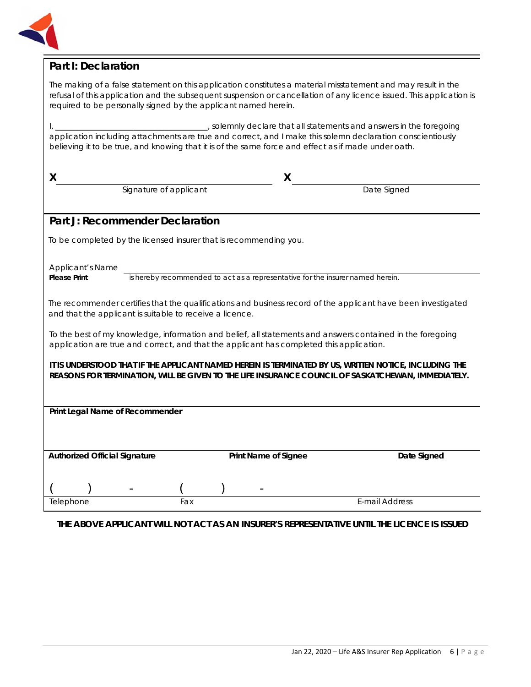

# **Part I: Declaration**

The making of a false statement on this application constitutes a material misstatement and may result in the refusal of this application and the subsequent suspension or cancellation of any licence issued. This application is required to be personally signed by the applicant named herein.

I, \_\_\_\_\_\_\_\_\_\_\_\_\_\_\_\_\_\_\_\_\_\_\_\_\_\_\_\_\_\_\_\_\_\_\_\_\_\_\_, solemnly declare that all statements and answers in the foregoing application including attachments are true and correct, and I make this solemn declaration conscientiously believing it to be true, and knowing that it is of the same force and effect as if made under oath.

| X                                                                                                                                                                                                            |                                                                   | X                                                                                                             |                |
|--------------------------------------------------------------------------------------------------------------------------------------------------------------------------------------------------------------|-------------------------------------------------------------------|---------------------------------------------------------------------------------------------------------------|----------------|
|                                                                                                                                                                                                              | Signature of applicant                                            |                                                                                                               | Date Signed    |
|                                                                                                                                                                                                              |                                                                   |                                                                                                               |                |
|                                                                                                                                                                                                              | Part J: Recommender Declaration                                   |                                                                                                               |                |
|                                                                                                                                                                                                              | To be completed by the licensed insurer that is recommending you. |                                                                                                               |                |
|                                                                                                                                                                                                              |                                                                   |                                                                                                               |                |
| Applicant's Name<br><b>Please Print</b>                                                                                                                                                                      |                                                                   | is hereby recommended to act as a representative for the insurer named herein.                                |                |
|                                                                                                                                                                                                              |                                                                   |                                                                                                               |                |
|                                                                                                                                                                                                              | and that the applicant is suitable to receive a licence.          | The recommender certifies that the qualifications and business record of the applicant have been investigated |                |
|                                                                                                                                                                                                              |                                                                   | To the best of my knowledge, information and belief, all statements and answers contained in the foregoing    |                |
|                                                                                                                                                                                                              |                                                                   | application are true and correct, and that the applicant has completed this application.                      |                |
| IT IS UNDERSTOOD THAT IF THE APPLICANT NAMED HEREIN IS TERMINATED BY US, WRITTEN NOTICE, INCLUDING THE<br>REASONS FOR TERMINATION, WILL BE GIVEN TO THE LIFE INSURANCE COUNCIL OF SASKATCHEWAN, IMMEDIATELY. |                                                                   |                                                                                                               |                |
|                                                                                                                                                                                                              |                                                                   |                                                                                                               |                |
| Print Legal Name of Recommender                                                                                                                                                                              |                                                                   |                                                                                                               |                |
|                                                                                                                                                                                                              |                                                                   |                                                                                                               |                |
|                                                                                                                                                                                                              |                                                                   |                                                                                                               |                |
| <b>Authorized Official Signature</b>                                                                                                                                                                         |                                                                   | <b>Print Name of Signee</b>                                                                                   | Date Signed    |
|                                                                                                                                                                                                              |                                                                   |                                                                                                               |                |
|                                                                                                                                                                                                              |                                                                   |                                                                                                               |                |
| Telephone                                                                                                                                                                                                    | Fax                                                               |                                                                                                               | E-mail Address |

**THE ABOVE APPLICANT WILL NOT ACT AS AN INSURER'S REPRESENTATIVE UNTIL THE LICENCE IS ISSUED**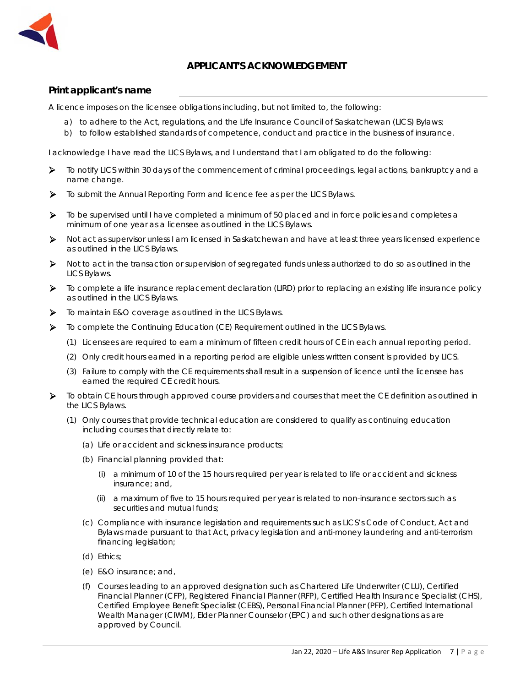

# **APPLICANT'S ACKNOWLEDGEMENT**

### **Print applicant's name**

A licence imposes on the licensee obligations including, but not limited to, the following:

- a) to adhere to the Act, regulations, and the Life Insurance Council of Saskatchewan (LICS) Bylaws;
- b) to follow established standards of competence, conduct and practice in the business of insurance.

I acknowledge I have read the LICS Bylaws, and I understand that I am obligated to do the following:

- $\triangleright$  To notify LICS within 30 days of the commencement of criminal proceedings, legal actions, bankruptcy and a name change.
- To submit the Annual Reporting Form and licence fee as per the LICS Bylaws.
- ▶ To be supervised until I have completed a minimum of 50 placed and in force policies and completes a minimum of one year as a licensee as outlined in the LICS Bylaws.
- Not act as supervisor unless I am licensed in Saskatchewan and have at least three years licensed experience as outlined in the LICS Bylaws.
- Not to act in the transaction or supervision of segregated funds unless authorized to do so as outlined in the LICS Bylaws.
- $\triangleright$  To complete a life insurance replacement declaration (LIRD) prior to replacing an existing life insurance policy as outlined in the LICS Bylaws.
- $\triangleright$  To maintain E&O coverage as outlined in the LICS Bylaws.
- To complete the Continuing Education (CE) Requirement outlined in the LICS Bylaws.
	- (1) Licensees are required to earn a minimum of fifteen credit hours of CE in each annual reporting period.
	- (2) Only credit hours earned in a reporting period are eligible unless written consent is provided by LICS.
	- (3) Failure to comply with the CE requirements shall result in a suspension of licence until the licensee has earned the required CE credit hours.
- To obtain CE hours through approved course providers and courses that meet the CE definition as outlined in the LICS Bylaws.
	- (1) Only courses that provide technical education are considered to qualify as continuing education including courses that directly relate to:
		- (a) Life or accident and sickness insurance products;
		- (b) Financial planning provided that:
			- (i) a minimum of 10 of the 15 hours required per year is related to life or accident and sickness insurance; and,
			- (ii) a maximum of five to 15 hours required per year is related to non-insurance sectors such as securities and mutual funds:
		- (c) Compliance with insurance legislation and requirements such as LICS's Code of Conduct, Act and Bylaws made pursuant to that Act, privacy legislation and anti-money laundering and anti-terrorism financing legislation;
		- (d) Ethics;
		- (e) E&O insurance; and,
		- (f) Courses leading to an approved designation such as Chartered Life Underwriter (CLU), Certified Financial Planner (CFP), Registered Financial Planner (RFP), Certified Health Insurance Specialist (CHS), Certified Employee Benefit Specialist (CEBS), Personal Financial Planner (PFP), Certified International Wealth Manager (CIWM), Elder Planner Counselor (EPC) and such other designations as are approved by Council.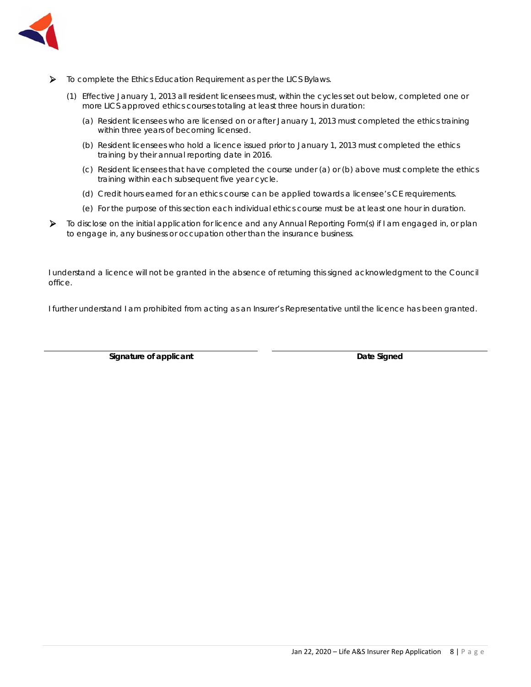

- To complete the Ethics Education Requirement as per the LICS Bylaws.
	- (1) Effective January 1, 2013 all resident licensees must, within the cycles set out below, completed one or more LICS approved ethics courses totaling at least three hours in duration:
		- (a) Resident licensees who are licensed on or after January 1, 2013 must completed the ethics training within three years of becoming licensed.
		- (b) Resident licensees who hold a licence issued prior to January 1, 2013 must completed the ethics training by their annual reporting date in 2016.
		- (c) Resident licensees that have completed the course under (a) or (b) above must complete the ethics training within each subsequent five year cycle.
		- (d) Credit hours earned for an ethics course can be applied towards a licensee's CE requirements.
		- (e) For the purpose of this section each individual ethics course must be at least one hour in duration.
- To disclose on the initial application for licence and any Annual Reporting Form(s) if I am engaged in, or plan to engage in, any business or occupation other than the insurance business.

I understand a licence will not be granted in the absence of returning this signed acknowledgment to the Council office.

I further understand I am prohibited from acting as an Insurer's Representative until the licence has been granted.

**Signature of applicant Community Community Community Community Community Community Community Community Community Community Community Community Community Community Community Community Community Community Community Communit**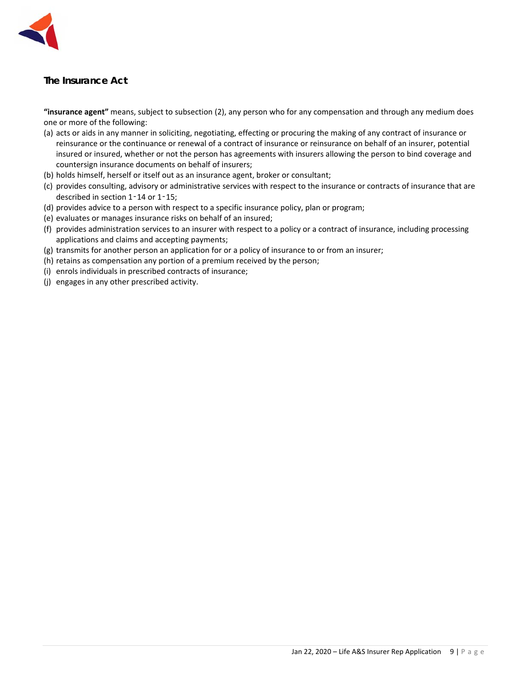

# *The Insurance Act*

**"insurance agent"** means, subject to subsection (2), any person who for any compensation and through any medium does one or more of the following:

- (a) acts or aids in any manner in soliciting, negotiating, effecting or procuring the making of any contract of insurance or reinsurance or the continuance or renewal of a contract of insurance or reinsurance on behalf of an insurer, potential insured or insured, whether or not the person has agreements with insurers allowing the person to bind coverage and countersign insurance documents on behalf of insurers;
- (b) holds himself, herself or itself out as an insurance agent, broker or consultant;
- (c) provides consulting, advisory or administrative services with respect to the insurance or contracts of insurance that are described in section 1-14 or 1-15;
- (d) provides advice to a person with respect to a specific insurance policy, plan or program;
- (e) evaluates or manages insurance risks on behalf of an insured;
- (f) provides administration services to an insurer with respect to a policy or a contract of insurance, including processing applications and claims and accepting payments;
- (g) transmits for another person an application for or a policy of insurance to or from an insurer;
- (h) retains as compensation any portion of a premium received by the person;
- (i) enrols individuals in prescribed contracts of insurance;
- (j) engages in any other prescribed activity.